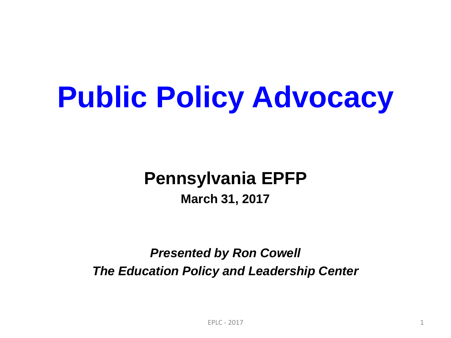# **Public Policy Advocacy**

#### **Pennsylvania EPFP March 31, 2017**

#### *Presented by Ron Cowell The Education Policy and Leadership Center*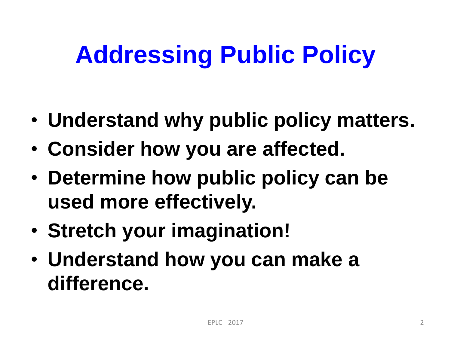## **Addressing Public Policy**

- **Understand why public policy matters.**
- **Consider how you are affected.**
- **Determine how public policy can be used more effectively.**
- **Stretch your imagination!**
- **Understand how you can make a difference.**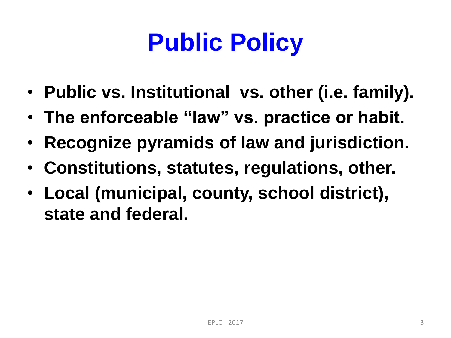## **Public Policy**

- **Public vs. Institutional vs. other (i.e. family).**
- **The enforceable "law" vs. practice or habit.**
- **Recognize pyramids of law and jurisdiction.**
- **Constitutions, statutes, regulations, other.**
- **Local (municipal, county, school district), state and federal.**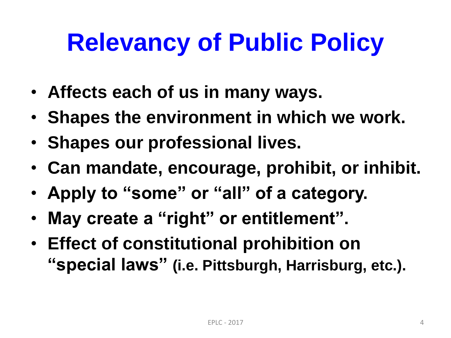### **Relevancy of Public Policy**

- **Affects each of us in many ways.**
- **Shapes the environment in which we work.**
- **Shapes our professional lives.**
- **Can mandate, encourage, prohibit, or inhibit.**
- **Apply to "some" or "all" of a category.**
- **May create a "right" or entitlement".**
- **Effect of constitutional prohibition on "special laws" (i.e. Pittsburgh, Harrisburg, etc.).**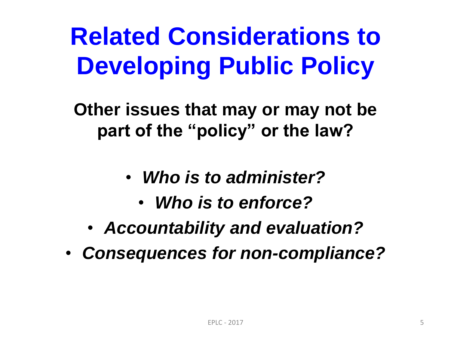## **Related Considerations to Developing Public Policy**

**Other issues that may or may not be part of the "policy" or the law?**

- *Who is to administer?*
	- *Who is to enforce?*
- *Accountability and evaluation?*
- *Consequences for non-compliance?*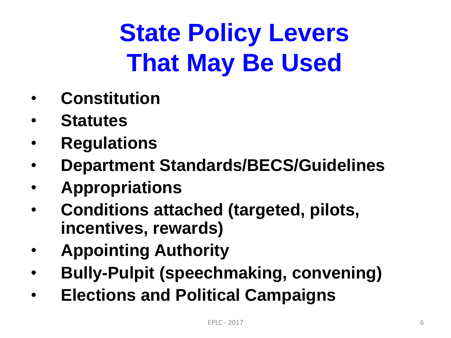## **State Policy Levers That May Be Used**

- **Constitution**
- **Statutes**
- **Regulations**
- **Department Standards/BECS/Guidelines**
- **Appropriations**
- **Conditions attached (targeted, pilots, incentives, rewards)**
- **Appointing Authority**
- **Bully-Pulpit (speechmaking, convening)**
- **Elections and Political Campaigns**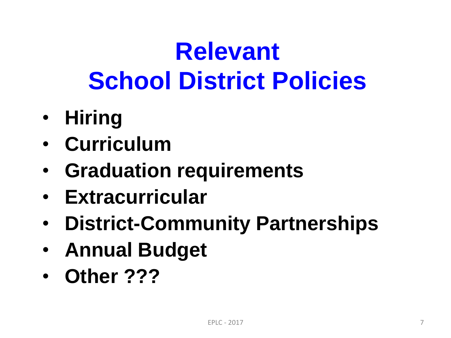## **Relevant School District Policies**

- **Hiring**
- **Curriculum**
- **Graduation requirements**
- **Extracurricular**
- **District-Community Partnerships**
- **Annual Budget**
- **Other ???**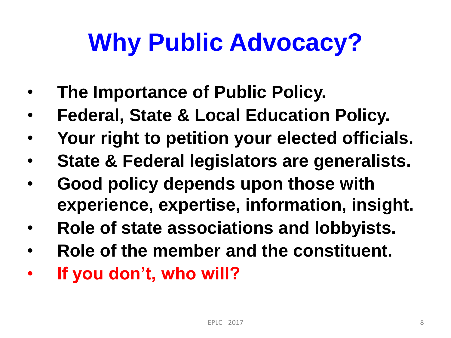## **Why Public Advocacy?**

- **The Importance of Public Policy.**
- **Federal, State & Local Education Policy.**
- **Your right to petition your elected officials.**
- **State & Federal legislators are generalists.**
- **Good policy depends upon those with experience, expertise, information, insight.**
- **Role of state associations and lobbyists.**
- **Role of the member and the constituent.**
- **If you don't, who will?**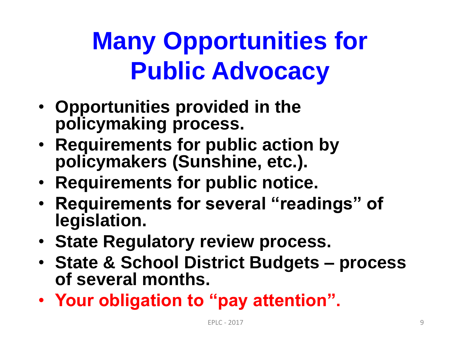## **Many Opportunities for Public Advocacy**

- **Opportunities provided in the policymaking process.**
- **Requirements for public action by policymakers (Sunshine, etc.).**
- **Requirements for public notice.**
- **Requirements for several "readings" of legislation.**
- **State Regulatory review process.**
- **State & School District Budgets – process of several months.**
- **Your obligation to "pay attention".**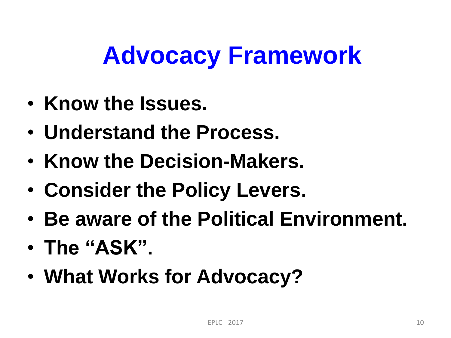### **Advocacy Framework**

- **Know the Issues.**
- **Understand the Process.**
- **Know the Decision-Makers.**
- **Consider the Policy Levers.**
- **Be aware of the Political Environment.**
- **The "ASK".**
- **What Works for Advocacy?**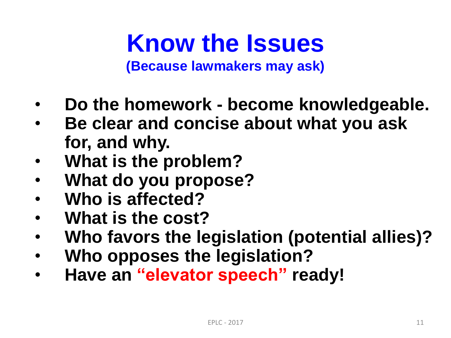**Know the Issues (Because lawmakers may ask)**

- **Do the homework - become knowledgeable.**
- **Be clear and concise about what you ask for, and why.**
- **What is the problem?**
- **What do you propose?**
- **Who is affected?**
- **What is the cost?**
- **Who favors the legislation (potential allies)?**
- **Who opposes the legislation?**
- **Have an "elevator speech" ready!**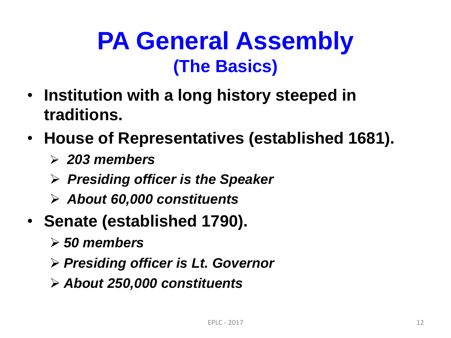#### **PA General Assembly (The Basics)**

- **Institution with a long history steeped in traditions.**
- **House of Representatives (established 1681).**
	- *203 members*
	- *Presiding officer is the Speaker*
	- *About 60,000 constituents*
- **Senate (established 1790).**
	- *50 members*
	- *Presiding officer is Lt. Governor*
	- *About 250,000 constituents*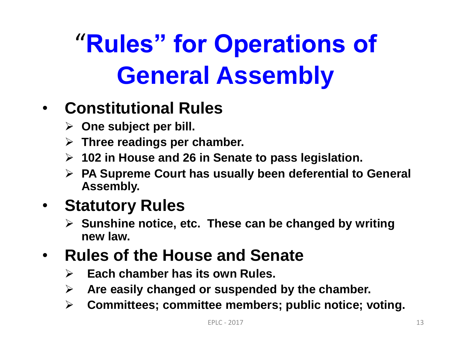# "**Rules" for Operations of General Assembly**

#### • **Constitutional Rules**

- **One subject per bill.**
- **Three readings per chamber.**
- **102 in House and 26 in Senate to pass legislation.**
- **PA Supreme Court has usually been deferential to General Assembly.**

#### • **Statutory Rules**

 **Sunshine notice, etc. These can be changed by writing new law.**

#### • **Rules of the House and Senate**

- **Each chamber has its own Rules.**
- **Are easily changed or suspended by the chamber.**
- **Committees; committee members; public notice; voting.**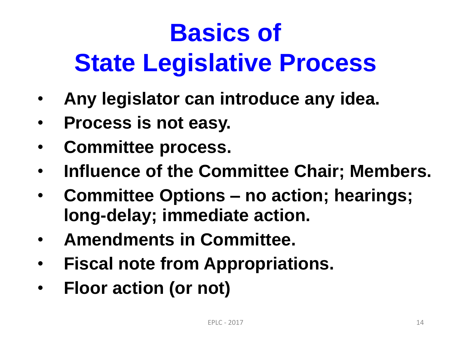# **Basics of State Legislative Process**

- **Any legislator can introduce any idea.**
- **Process is not easy.**
- **Committee process.**
- **Influence of the Committee Chair; Members.**
- **Committee Options – no action; hearings; long-delay; immediate action.**
- **Amendments in Committee.**
- **Fiscal note from Appropriations.**
- **Floor action (or not)**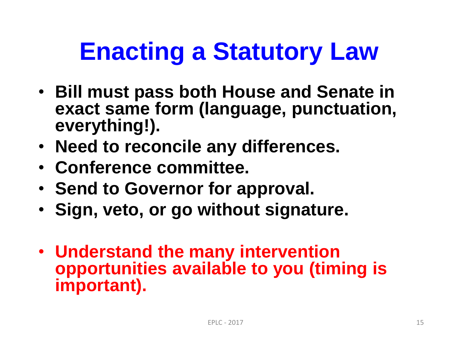## **Enacting a Statutory Law**

- **Bill must pass both House and Senate in exact same form (language, punctuation, everything!).**
- **Need to reconcile any differences.**
- **Conference committee.**
- **Send to Governor for approval.**
- **Sign, veto, or go without signature.**
- **Understand the many intervention opportunities available to you (timing is important).**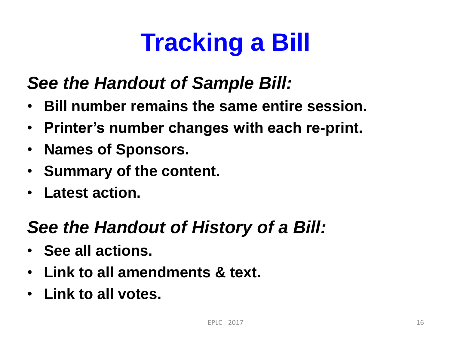## **Tracking a Bill**

#### *See the Handout of Sample Bill:*

- **Bill number remains the same entire session.**
- **Printer's number changes with each re-print.**
- **Names of Sponsors.**
- **Summary of the content.**
- **Latest action.**

#### *See the Handout of History of a Bill:*

- **See all actions.**
- **Link to all amendments & text.**
- **Link to all votes.**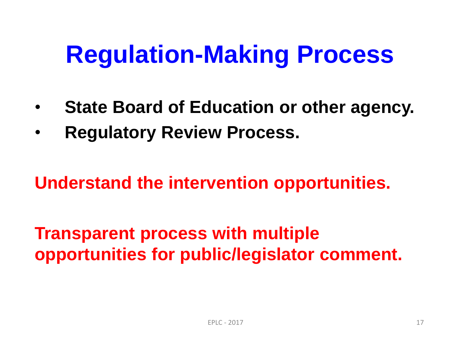### **Regulation-Making Process**

- **State Board of Education or other agency.**
- **Regulatory Review Process.**

**Understand the intervention opportunities.**

**Transparent process with multiple opportunities for public/legislator comment.**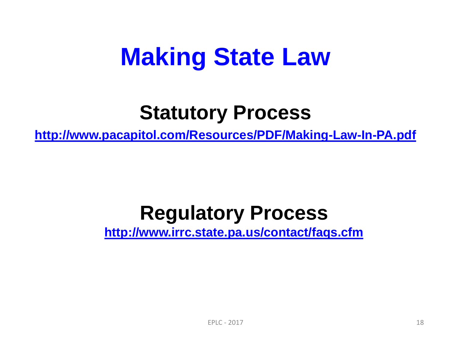#### **Making State Law**

#### **Statutory Process**

**<http://www.pacapitol.com/Resources/PDF/Making-Law-In-PA.pdf>**

#### **Regulatory Process**

**<http://www.irrc.state.pa.us/contact/faqs.cfm>**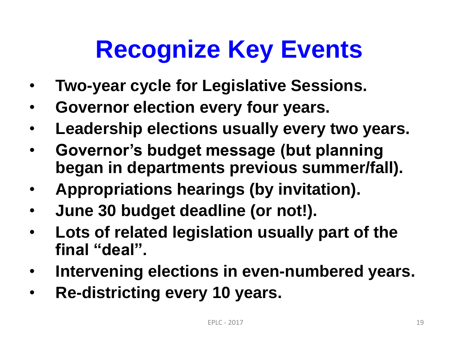## **Recognize Key Events**

- **Two-year cycle for Legislative Sessions.**
- **Governor election every four years.**
- **Leadership elections usually every two years.**
- **Governor's budget message (but planning began in departments previous summer/fall).**
- **Appropriations hearings (by invitation).**
- **June 30 budget deadline (or not!).**
- **Lots of related legislation usually part of the final "deal".**
- **Intervening elections in even-numbered years.**
- **Re-districting every 10 years.**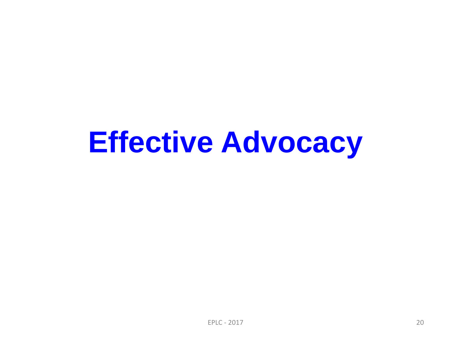## **Effective Advocacy**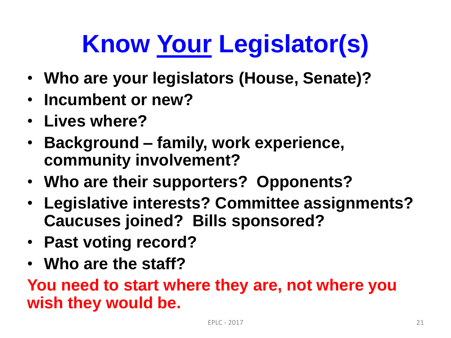# **Know Your Legislator(s)**

- **Who are your legislators (House, Senate)?**
- **Incumbent or new?**
- **Lives where?**
- **Background – family, work experience, community involvement?**
- **Who are their supporters? Opponents?**
- **Legislative interests? Committee assignments? Caucuses joined? Bills sponsored?**
- **Past voting record?**
- **Who are the staff?**

**You need to start where they are, not where you wish they would be.**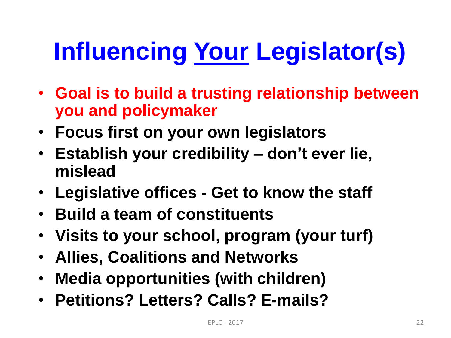# **Influencing Your Legislator(s)**

- **Goal is to build a trusting relationship between you and policymaker**
- **Focus first on your own legislators**
- **Establish your credibility – don't ever lie, mislead**
- **Legislative offices - Get to know the staff**
- **Build a team of constituents**
- **Visits to your school, program (your turf)**
- **Allies, Coalitions and Networks**
- **Media opportunities (with children)**
- **Petitions? Letters? Calls? E-mails?**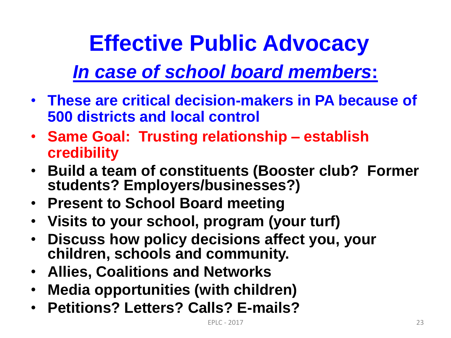#### **Effective Public Advocacy**

#### *In case of school board members***:**

- **These are critical decision-makers in PA because of 500 districts and local control**
- **Same Goal: Trusting relationship – establish credibility**
- **Build a team of constituents (Booster club? Former students? Employers/businesses?)**
- **Present to School Board meeting**
- **Visits to your school, program (your turf)**
- **Discuss how policy decisions affect you, your children, schools and community.**
- **Allies, Coalitions and Networks**
- **Media opportunities (with children)**
- **Petitions? Letters? Calls? E-mails?**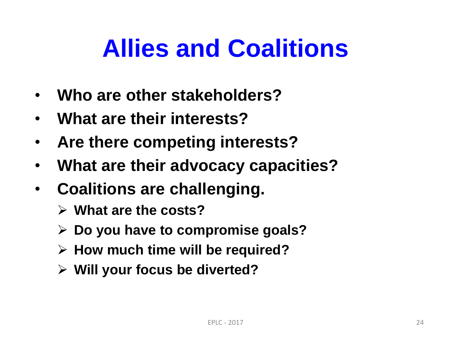### **Allies and Coalitions**

- **Who are other stakeholders?**
- **What are their interests?**
- **Are there competing interests?**
- **What are their advocacy capacities?**
- **Coalitions are challenging.** 
	- **What are the costs?**
	- **Do you have to compromise goals?**
	- **How much time will be required?**
	- **Will your focus be diverted?**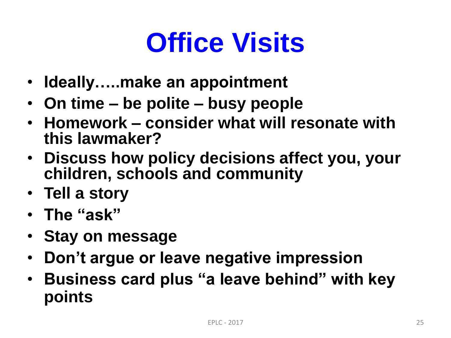## **Office Visits**

- **Ideally…..make an appointment**
- **On time – be polite – busy people**
- **Homework – consider what will resonate with this lawmaker?**
- **Discuss how policy decisions affect you, your children, schools and community**
- **Tell a story**
- **The "ask"**
- **Stay on message**
- **Don't argue or leave negative impression**
- **Business card plus "a leave behind" with key points**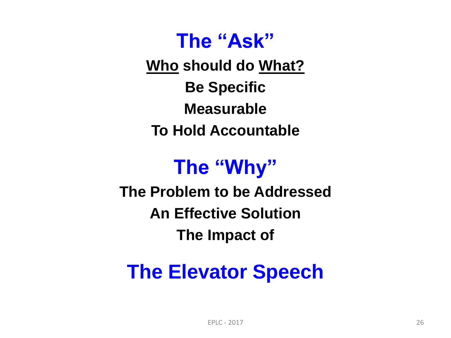#### **The "Ask"**

**Who should do What? Be Specific Measurable To Hold Accountable**

#### **The "Why"**

**The Problem to be Addressed An Effective Solution The Impact of**

#### **The Elevator Speech**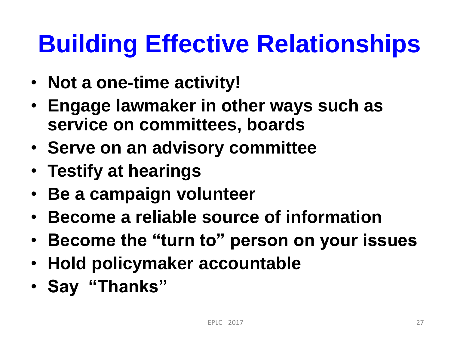## **Building Effective Relationships**

- **Not a one-time activity!**
- **Engage lawmaker in other ways such as service on committees, boards**
- **Serve on an advisory committee**
- **Testify at hearings**
- **Be a campaign volunteer**
- **Become a reliable source of information**
- **Become the "turn to" person on your issues**
- **Hold policymaker accountable**
- **Say "Thanks"**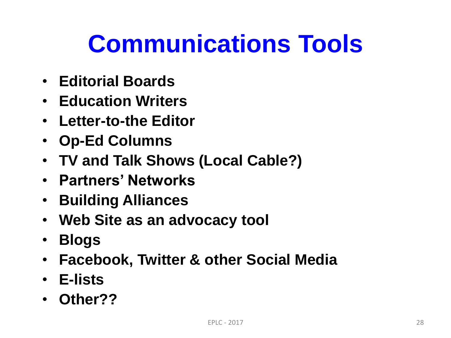### **Communications Tools**

- **Editorial Boards**
- **Education Writers**
- **Letter-to-the Editor**
- **Op-Ed Columns**
- **TV and Talk Shows (Local Cable?)**
- **Partners' Networks**
- **Building Alliances**
- **Web Site as an advocacy tool**
- **Blogs**
- **Facebook, Twitter & other Social Media**
- **E-lists**
- **Other??**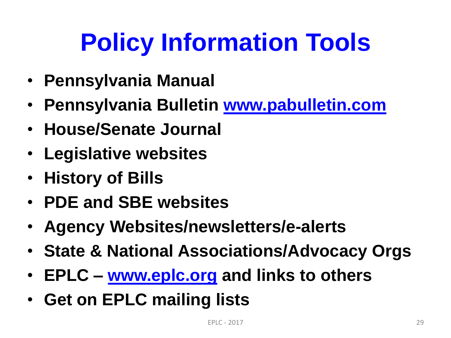## **Policy Information Tools**

- **Pennsylvania Manual**
- **Pennsylvania Bulletin [www.pabulletin.com](http://www.pabulletin.com/)**
- **House/Senate Journal**
- **Legislative websites**
- **History of Bills**
- **PDE and SBE websites**
- **Agency Websites/newsletters/e-alerts**
- **State & National Associations/Advocacy Orgs**
- **EPLC – [www.eplc.org](http://www.eplc.org/) and links to others**
- **Get on EPLC mailing lists**